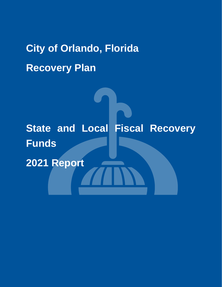# **City of Orlando, Florida Recovery Plan**

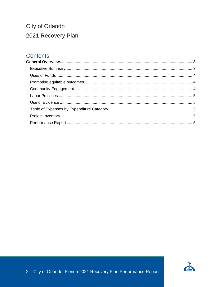#### City of Orlando 2021 Recovery Plan

#### **Contents**

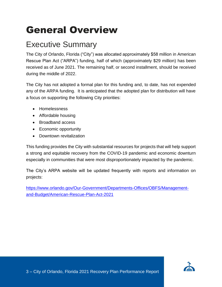## <span id="page-2-0"></span>General Overview

#### <span id="page-2-1"></span>Executive Summary

The City of Orlando, Florida ("City") was allocated approximately \$58 million in American Rescue Plan Act ("ARPA") funding, half of which (approximately \$29 million) has been received as of June 2021. The remaining half, or second installment, should be received during the middle of 2022.

The City has not adopted a formal plan for this funding and, to date, has not expended any of the ARPA funding. It is anticipated that the adopted plan for distribution will have a focus on supporting the following City priorities:

- Homelessness
- Affordable housing
- Broadband access
- Economic opportunity
- Downtown revitalization

This funding provides the City with substantial resources for projects that will help support a strong and equitable recovery from the COVID-19 pandemic and economic downturn especially in communities that were most disproportionately impacted by the pandemic.

The City's ARPA website will be updated frequently with reports and information on projects:

<span id="page-2-2"></span>[https://www.orlando.gov/Our-Government/Departments-Offices/OBFS/Management](https://www.orlando.gov/Our-Government/Departments-Offices/OBFS/Management-and-Budget/American-Rescue-Plan-Act-2021)[and-Budget/American-Rescue-Plan-Act-2021](https://www.orlando.gov/Our-Government/Departments-Offices/OBFS/Management-and-Budget/American-Rescue-Plan-Act-2021)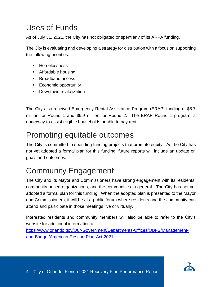#### Uses of Funds

As of July 31, 2021, the City has not obligated or spent any of its ARPA funding.

The City is evaluating and developing a strategy for distribution with a focus on supporting the following priorities:

- Homelessness
- Affordable housing
- Broadband access
- Economic opportunity
- Downtown revitalization

The City also received Emergency Rental Assistance Program (ERAP) funding of \$8.7 million for Round 1 and \$6.9 million for Round 2. The ERAP Round 1 program is underway to assist eligible households unable to pay rent.

#### <span id="page-3-0"></span>Promoting equitable outcomes

The City is committed to spending funding projects that promote equity. As the City has not yet adopted a formal plan for this funding, future reports will include an update on goals and outcomes.

#### <span id="page-3-1"></span>Community Engagement

The City and its Mayor and Commissioners have strong engagement with its residents, community-based organizations, and the communities in general. The City has not yet adopted a formal plan for this funding. When the adopted plan is presented to the Mayor and Commissioners, it will be at a public forum where residents and the community can attend and participate in those meetings live or virtually.

Interested residents and community members will also be able to refer to the City's website for additional information at

[https://www.orlando.gov/Our-Government/Departments-Offices/OBFS/Management](https://www.orlando.gov/Our-Government/Departments-Offices/OBFS/Management-and-Budget/American-Rescue-Plan-Act-2021)[and-Budget/American-Rescue-Plan-Act-2021](https://www.orlando.gov/Our-Government/Departments-Offices/OBFS/Management-and-Budget/American-Rescue-Plan-Act-2021)